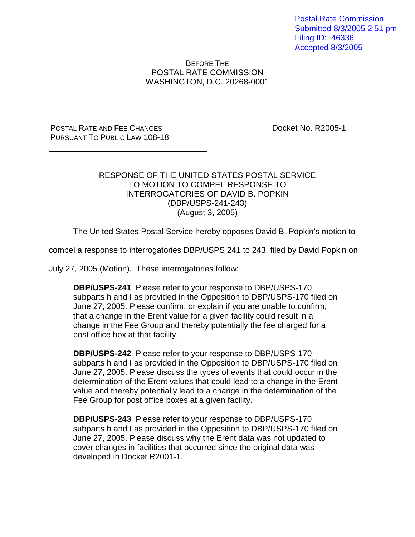Postal Rate Commission Submitted 8/3/2005 2:51 pm Filing ID: 46336 Accepted 8/3/2005

BEFORE THE POSTAL RATE COMMISSION WASHINGTON, D.C. 20268-0001

## POSTAL RATE AND FEE CHANGES PURSUANT TO PUBLIC LAW 108-18

Docket No. R2005-1

## RESPONSE OF THE UNITED STATES POSTAL SERVICE TO MOTION TO COMPEL RESPONSE TO INTERROGATORIES OF DAVID B. POPKIN (DBP/USPS-241-243) (August 3, 2005)

The United States Postal Service hereby opposes David B. Popkin's motion to

compel a response to interrogatories DBP/USPS 241 to 243, filed by David Popkin on

July 27, 2005 (Motion). These interrogatories follow:

**DBP/USPS-241** Please refer to your response to DBP/USPS-170 subparts h and I as provided in the Opposition to DBP/USPS-170 filed on June 27, 2005. Please confirm, or explain if you are unable to confirm, that a change in the Erent value for a given facility could result in a change in the Fee Group and thereby potentially the fee charged for a post office box at that facility.

**DBP/USPS-242** Please refer to your response to DBP/USPS-170 subparts h and I as provided in the Opposition to DBP/USPS-170 filed on June 27, 2005. Please discuss the types of events that could occur in the determination of the Erent values that could lead to a change in the Erent value and thereby potentially lead to a change in the determination of the Fee Group for post office boxes at a given facility.

**DBP/USPS-243** Please refer to your response to DBP/USPS-170 subparts h and I as provided in the Opposition to DBP/USPS-170 filed on June 27, 2005. Please discuss why the Erent data was not updated to cover changes in facilities that occurred since the original data was developed in Docket R2001-1.